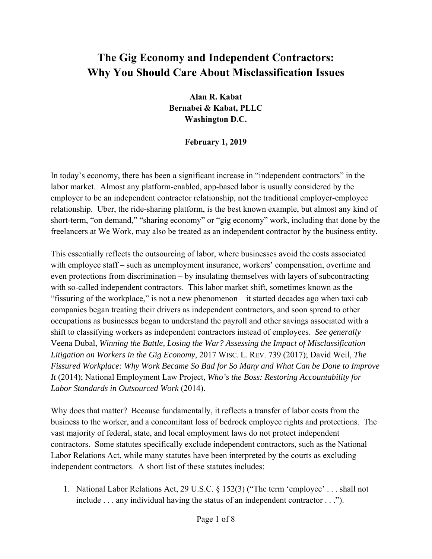## **The Gig Economy and Independent Contractors: Why You Should Care About Misclassification Issues**

**Alan R. Kabat Bernabei & Kabat, PLLC Washington D.C.** 

**February 1, 2019** 

In today's economy, there has been a significant increase in "independent contractors" in the labor market. Almost any platform-enabled, app-based labor is usually considered by the employer to be an independent contractor relationship, not the traditional employer-employee relationship. Uber, the ride-sharing platform, is the best known example, but almost any kind of short-term, "on demand," "sharing economy" or "gig economy" work, including that done by the freelancers at We Work, may also be treated as an independent contractor by the business entity.

This essentially reflects the outsourcing of labor, where businesses avoid the costs associated with employee staff – such as unemployment insurance, workers' compensation, overtime and even protections from discrimination – by insulating themselves with layers of subcontracting with so-called independent contractors. This labor market shift, sometimes known as the "fissuring of the workplace," is not a new phenomenon – it started decades ago when taxi cab companies began treating their drivers as independent contractors, and soon spread to other occupations as businesses began to understand the payroll and other savings associated with a shift to classifying workers as independent contractors instead of employees. *See generally* Veena Dubal, *Winning the Battle, Losing the War? Assessing the Impact of Misclassification Litigation on Workers in the Gig Economy*, 2017 WISC. L. REV. 739 (2017); David Weil, *The Fissured Workplace: Why Work Became So Bad for So Many and What Can be Done to Improve It* (2014); National Employment Law Project, *Who's the Boss: Restoring Accountability for Labor Standards in Outsourced Work* (2014).

Why does that matter? Because fundamentally, it reflects a transfer of labor costs from the business to the worker, and a concomitant loss of bedrock employee rights and protections. The vast majority of federal, state, and local employment laws do not protect independent contractors. Some statutes specifically exclude independent contractors, such as the National Labor Relations Act, while many statutes have been interpreted by the courts as excluding independent contractors. A short list of these statutes includes:

1. National Labor Relations Act, 29 U.S.C. § 152(3) ("The term 'employee' . . . shall not include . . . any individual having the status of an independent contractor . . .").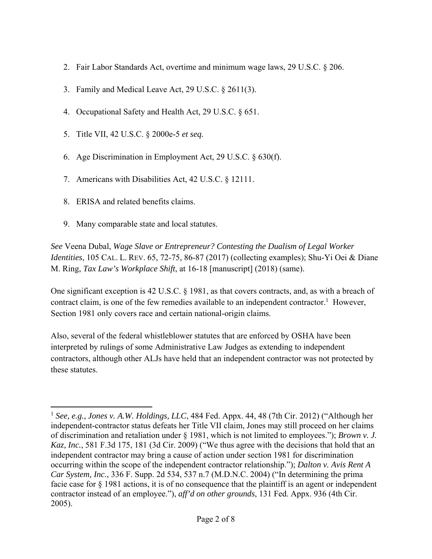- 2. Fair Labor Standards Act, overtime and minimum wage laws, 29 U.S.C. § 206.
- 3. Family and Medical Leave Act, 29 U.S.C. § 2611(3).
- 4. Occupational Safety and Health Act, 29 U.S.C. § 651.
- 5. Title VII, 42 U.S.C. § 2000e-5 *et seq.*
- 6. Age Discrimination in Employment Act, 29 U.S.C. § 630(f).
- 7. Americans with Disabilities Act, 42 U.S.C. § 12111.
- 8. ERISA and related benefits claims.

 $\overline{a}$ 

9. Many comparable state and local statutes.

*See* Veena Dubal, *Wage Slave or Entrepreneur? Contesting the Dualism of Legal Worker Identities*, 105 CAL. L. REV. 65, 72-75, 86-87 (2017) (collecting examples); Shu-Yi Oei & Diane M. Ring, *Tax Law's Workplace Shift*, at 16-18 [manuscript] (2018) (same).

One significant exception is 42 U.S.C. § 1981, as that covers contracts, and, as with a breach of contract claim, is one of the few remedies available to an independent contractor.<sup>1</sup> However, Section 1981 only covers race and certain national-origin claims.

Also, several of the federal whistleblower statutes that are enforced by OSHA have been interpreted by rulings of some Administrative Law Judges as extending to independent contractors, although other ALJs have held that an independent contractor was not protected by these statutes.

<sup>1</sup> *See, e.g., Jones v. A.W. Holdings, LLC*, 484 Fed. Appx. 44, 48 (7th Cir. 2012) ("Although her independent-contractor status defeats her Title VII claim, Jones may still proceed on her claims of discrimination and retaliation under § 1981, which is not limited to employees."); *Brown v. J. Kaz, Inc.*, 581 F.3d 175, 181 (3d Cir. 2009) ("We thus agree with the decisions that hold that an independent contractor may bring a cause of action under section 1981 for discrimination occurring within the scope of the independent contractor relationship."); *Dalton v. Avis Rent A Car System, Inc.*, 336 F. Supp. 2d 534, 537 n.7 (M.D.N.C. 2004) ("In determining the prima facie case for § 1981 actions, it is of no consequence that the plaintiff is an agent or independent contractor instead of an employee."), *aff'd on other grounds*, 131 Fed. Appx. 936 (4th Cir. 2005).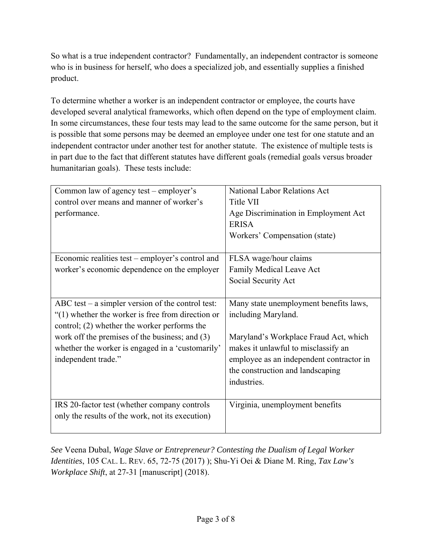So what is a true independent contractor? Fundamentally, an independent contractor is someone who is in business for herself, who does a specialized job, and essentially supplies a finished product.

To determine whether a worker is an independent contractor or employee, the courts have developed several analytical frameworks, which often depend on the type of employment claim. In some circumstances, these four tests may lead to the same outcome for the same person, but it is possible that some persons may be deemed an employee under one test for one statute and an independent contractor under another test for another statute. The existence of multiple tests is in part due to the fact that different statutes have different goals (remedial goals versus broader humanitarian goals). These tests include:

| Common law of agency test – employer's              | National Labor Relations Act             |
|-----------------------------------------------------|------------------------------------------|
| control over means and manner of worker's           | Title VII                                |
| performance.                                        | Age Discrimination in Employment Act     |
|                                                     | <b>ERISA</b>                             |
|                                                     | Workers' Compensation (state)            |
|                                                     |                                          |
| Economic realities test – employer's control and    | FLSA wage/hour claims                    |
| worker's economic dependence on the employer        | Family Medical Leave Act                 |
|                                                     | Social Security Act                      |
|                                                     |                                          |
| ABC test $-$ a simpler version of the control test: | Many state unemployment benefits laws,   |
| $"(1)$ whether the worker is free from direction or | including Maryland.                      |
| control; (2) whether the worker performs the        |                                          |
| work off the premises of the business; and (3)      | Maryland's Workplace Fraud Act, which    |
| whether the worker is engaged in a 'customarily'    | makes it unlawful to misclassify an      |
| independent trade."                                 | employee as an independent contractor in |
|                                                     | the construction and landscaping         |
|                                                     | industries.                              |
|                                                     |                                          |
| IRS 20-factor test (whether company controls        | Virginia, unemployment benefits          |
| only the results of the work, not its execution)    |                                          |
|                                                     |                                          |

*See* Veena Dubal, *Wage Slave or Entrepreneur? Contesting the Dualism of Legal Worker Identities*, 105 CAL. L. REV. 65, 72-75 (2017) ); Shu-Yi Oei & Diane M. Ring, *Tax Law's Workplace Shift*, at 27-31 [manuscript] (2018).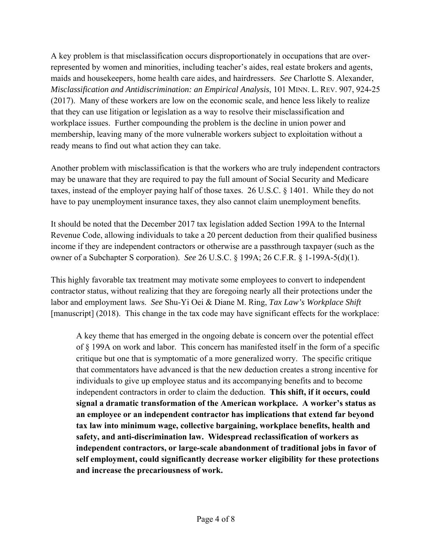A key problem is that misclassification occurs disproportionately in occupations that are overrepresented by women and minorities, including teacher's aides, real estate brokers and agents, maids and housekeepers, home health care aides, and hairdressers. *See* Charlotte S. Alexander, *Misclassification and Antidiscrimination: an Empirical Analysis*, 101 MINN. L. REV. 907, 924-25 (2017). Many of these workers are low on the economic scale, and hence less likely to realize that they can use litigation or legislation as a way to resolve their misclassification and workplace issues. Further compounding the problem is the decline in union power and membership, leaving many of the more vulnerable workers subject to exploitation without a ready means to find out what action they can take.

Another problem with misclassification is that the workers who are truly independent contractors may be unaware that they are required to pay the full amount of Social Security and Medicare taxes, instead of the employer paying half of those taxes. 26 U.S.C. § 1401. While they do not have to pay unemployment insurance taxes, they also cannot claim unemployment benefits.

It should be noted that the December 2017 tax legislation added Section 199A to the Internal Revenue Code, allowing individuals to take a 20 percent deduction from their qualified business income if they are independent contractors or otherwise are a passthrough taxpayer (such as the owner of a Subchapter S corporation). *See* 26 U.S.C. § 199A; 26 C.F.R. § 1-199A-5(d)(1).

This highly favorable tax treatment may motivate some employees to convert to independent contractor status, without realizing that they are foregoing nearly all their protections under the labor and employment laws. *See* Shu-Yi Oei & Diane M. Ring, *Tax Law's Workplace Shift* [manuscript] (2018). This change in the tax code may have significant effects for the workplace:

A key theme that has emerged in the ongoing debate is concern over the potential effect of § 199A on work and labor. This concern has manifested itself in the form of a specific critique but one that is symptomatic of a more generalized worry. The specific critique that commentators have advanced is that the new deduction creates a strong incentive for individuals to give up employee status and its accompanying benefits and to become independent contractors in order to claim the deduction. **This shift, if it occurs, could signal a dramatic transformation of the American workplace. A worker's status as an employee or an independent contractor has implications that extend far beyond tax law into minimum wage, collective bargaining, workplace benefits, health and safety, and anti-discrimination law. Widespread reclassification of workers as independent contractors, or large-scale abandonment of traditional jobs in favor of self employment, could significantly decrease worker eligibility for these protections and increase the precariousness of work.**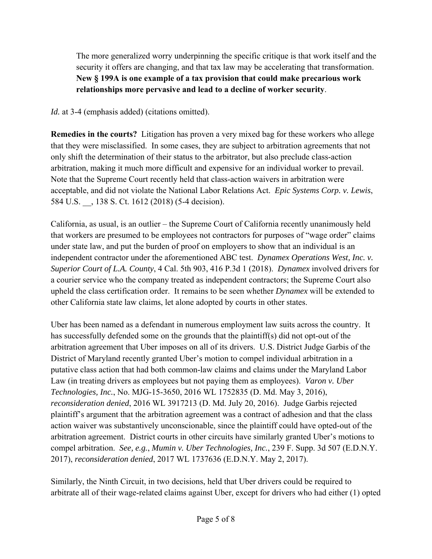The more generalized worry underpinning the specific critique is that work itself and the security it offers are changing, and that tax law may be accelerating that transformation. **New § 199A is one example of a tax provision that could make precarious work relationships more pervasive and lead to a decline of worker security**.

*Id.* at 3-4 (emphasis added) (citations omitted).

**Remedies in the courts?** Litigation has proven a very mixed bag for these workers who allege that they were misclassified. In some cases, they are subject to arbitration agreements that not only shift the determination of their status to the arbitrator, but also preclude class-action arbitration, making it much more difficult and expensive for an individual worker to prevail. Note that the Supreme Court recently held that class-action waivers in arbitration were acceptable, and did not violate the National Labor Relations Act. *Epic Systems Corp. v. Lewis*, 584 U.S. \_\_, 138 S. Ct. 1612 (2018) (5-4 decision).

California, as usual, is an outlier – the Supreme Court of California recently unanimously held that workers are presumed to be employees not contractors for purposes of "wage order" claims under state law, and put the burden of proof on employers to show that an individual is an independent contractor under the aforementioned ABC test. *Dynamex Operations West, Inc. v. Superior Court of L.A. County*, 4 Cal. 5th 903, 416 P.3d 1 (2018). *Dynamex* involved drivers for a courier service who the company treated as independent contractors; the Supreme Court also upheld the class certification order. It remains to be seen whether *Dynamex* will be extended to other California state law claims, let alone adopted by courts in other states.

Uber has been named as a defendant in numerous employment law suits across the country. It has successfully defended some on the grounds that the plaintiff(s) did not opt-out of the arbitration agreement that Uber imposes on all of its drivers. U.S. District Judge Garbis of the District of Maryland recently granted Uber's motion to compel individual arbitration in a putative class action that had both common-law claims and claims under the Maryland Labor Law (in treating drivers as employees but not paying them as employees). *Varon v. Uber Technologies, Inc.*, No. MJG-15-3650, 2016 WL 1752835 (D. Md. May 3, 2016), *reconsideration denied*, 2016 WL 3917213 (D. Md. July 20, 2016). Judge Garbis rejected plaintiff's argument that the arbitration agreement was a contract of adhesion and that the class action waiver was substantively unconscionable, since the plaintiff could have opted-out of the arbitration agreement. District courts in other circuits have similarly granted Uber's motions to compel arbitration. *See, e.g.*, *Mumin v. Uber Technologies, Inc.*, 239 F. Supp. 3d 507 (E.D.N.Y. 2017), *reconsideration denied*, 2017 WL 1737636 (E.D.N.Y. May 2, 2017).

Similarly, the Ninth Circuit, in two decisions, held that Uber drivers could be required to arbitrate all of their wage-related claims against Uber, except for drivers who had either (1) opted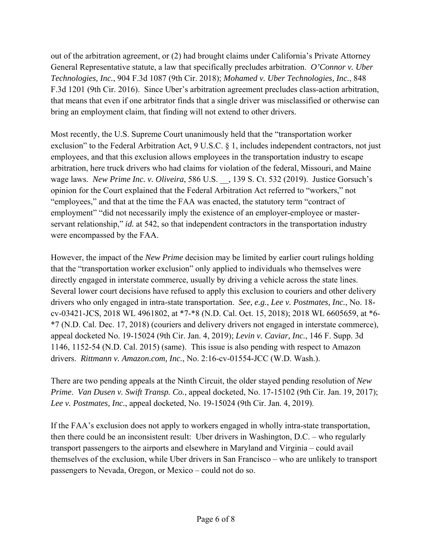out of the arbitration agreement, or (2) had brought claims under California's Private Attorney General Representative statute, a law that specifically precludes arbitration. *O'Connor v. Uber Technologies, Inc.*, 904 F.3d 1087 (9th Cir. 2018); *Mohamed v. Uber Technologies, Inc.*, 848 F.3d 1201 (9th Cir. 2016). Since Uber's arbitration agreement precludes class-action arbitration, that means that even if one arbitrator finds that a single driver was misclassified or otherwise can bring an employment claim, that finding will not extend to other drivers.

Most recently, the U.S. Supreme Court unanimously held that the "transportation worker exclusion" to the Federal Arbitration Act, 9 U.S.C. § 1, includes independent contractors, not just employees, and that this exclusion allows employees in the transportation industry to escape arbitration, here truck drivers who had claims for violation of the federal, Missouri, and Maine wage laws. *New Prime Inc. v. Oliveira*, 586 U.S. \_\_, 139 S. Ct. 532 (2019). Justice Gorsuch's opinion for the Court explained that the Federal Arbitration Act referred to "workers," not "employees," and that at the time the FAA was enacted, the statutory term "contract of employment" "did not necessarily imply the existence of an employer-employee or masterservant relationship," *id.* at 542, so that independent contractors in the transportation industry were encompassed by the FAA.

However, the impact of the *New Prime* decision may be limited by earlier court rulings holding that the "transportation worker exclusion" only applied to individuals who themselves were directly engaged in interstate commerce, usually by driving a vehicle across the state lines. Several lower court decisions have refused to apply this exclusion to couriers and other delivery drivers who only engaged in intra-state transportation. *See, e.g.*, *Lee v. Postmates, Inc.*, No. 18 cv-03421-JCS, 2018 WL 4961802, at \*7-\*8 (N.D. Cal. Oct. 15, 2018); 2018 WL 6605659, at \*6- \*7 (N.D. Cal. Dec. 17, 2018) (couriers and delivery drivers not engaged in interstate commerce), appeal docketed No. 19-15024 (9th Cir. Jan. 4, 2019); *Levin v. Caviar, Inc.*, 146 F. Supp. 3d 1146, 1152-54 (N.D. Cal. 2015) (same). This issue is also pending with respect to Amazon drivers. *Rittmann v. Amazon.com, Inc.*, No. 2:16-cv-01554-JCC (W.D. Wash.).

There are two pending appeals at the Ninth Circuit, the older stayed pending resolution of *New Prime*. *Van Dusen v. Swift Transp. Co.*, appeal docketed, No. 17-15102 (9th Cir. Jan. 19, 2017); *Lee v. Postmates, Inc.*, appeal docketed, No. 19-15024 (9th Cir. Jan. 4, 2019).

If the FAA's exclusion does not apply to workers engaged in wholly intra-state transportation, then there could be an inconsistent result: Uber drivers in Washington, D.C. – who regularly transport passengers to the airports and elsewhere in Maryland and Virginia – could avail themselves of the exclusion, while Uber drivers in San Francisco – who are unlikely to transport passengers to Nevada, Oregon, or Mexico – could not do so.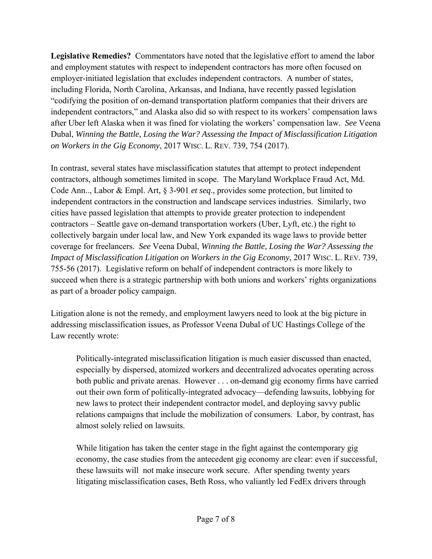**Legislative Remedies?** Commentators have noted that the legislative effort to amend the labor and employment statutes with respect to independent contractors has more often focused on employer-initiated legislation that excludes independent contractors. A number of states, including Florida, North Carolina, Arkansas, and Indiana, have recently passed legislation "codifying the position of on-demand transportation platform companies that their drivers are independent contractors," and Alaska also did so with respect to its workers' compensation laws after Uber left Alaska when it was fined for violating the workers' compensation law. *See* Veena Dubal, *Winning the Battle, Losing the War? Assessing the Impact of Misclassification Litigation on Workers in the Gig Economy*, 2017 WISC. L. REV. 739, 754 (2017).

In contrast, several states have misclassification statutes that attempt to protect independent contractors, although sometimes limited in scope. The Maryland Workplace Fraud Act, Md. Code Ann.., Labor & Empl. Art, § 3-901 *et seq*., provides some protection, but limited to independent contractors in the construction and landscape services industries. Similarly, two cities have passed legislation that attempts to provide greater protection to independent contractors – Seattle gave on-demand transportation workers (Uber, Lyft, etc.) the right to collectively bargain under local law, and New York expanded its wage laws to provide better coverage for freelancers. *See* Veena Dubal, *Winning the Battle, Losing the War? Assessing the Impact of Misclassification Litigation on Workers in the Gig Economy*, 2017 WISC. L. REV. 739, 755-56 (2017). Legislative reform on behalf of independent contractors is more likely to succeed when there is a strategic partnership with both unions and workers' rights organizations as part of a broader policy campaign.

Litigation alone is not the remedy, and employment lawyers need to look at the big picture in addressing misclassification issues, as Professor Veena Dubal of UC Hastings College of the Law recently wrote:

Politically-integrated misclassification litigation is much easier discussed than enacted, especially by dispersed, atomized workers and decentralized advocates operating across both public and private arenas. However . . . on-demand gig economy firms have carried out their own form of politically-integrated advocacy—defending lawsuits, lobbying for new laws to protect their independent contractor model, and deploying savvy public relations campaigns that include the mobilization of consumers. Labor, by contrast, has almost solely relied on lawsuits.

While litigation has taken the center stage in the fight against the contemporary gig economy, the case studies from the antecedent gig economy are clear: even if successful, these lawsuits will not make insecure work secure. After spending twenty years litigating misclassification cases, Beth Ross, who valiantly led FedEx drivers through